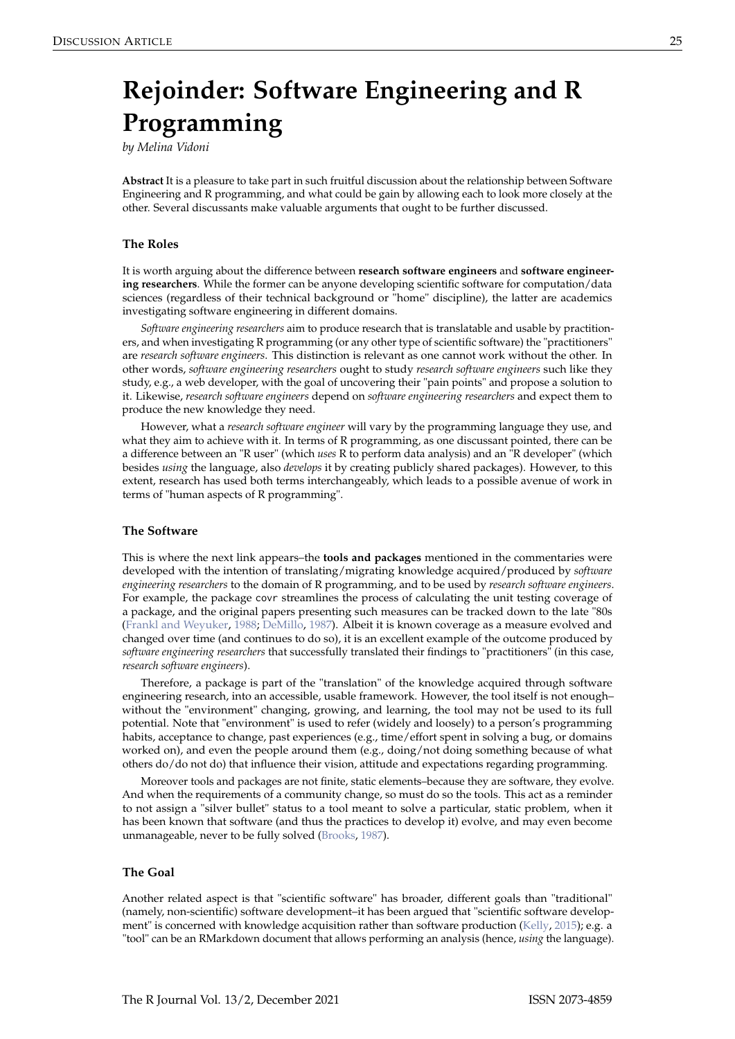# <span id="page-0-0"></span>**Rejoinder: Software Engineering and R Programming**

*by Melina Vidoni*

**Abstract** It is a pleasure to take part in such fruitful discussion about the relationship between Software Engineering and R programming, and what could be gain by allowing each to look more closely at the other. Several discussants make valuable arguments that ought to be further discussed.

#### **The Roles**

It is worth arguing about the difference between **research software engineers** and **software engineering researchers**. While the former can be anyone developing scientific software for computation/data sciences (regardless of their technical background or "home" discipline), the latter are academics investigating software engineering in different domains.

*Software engineering researchers* aim to produce research that is translatable and usable by practitioners, and when investigating R programming (or any other type of scientific software) the "practitioners" are *research software engineers*. This distinction is relevant as one cannot work without the other. In other words, *software engineering researchers* ought to study *research software engineers* such like they study, e.g., a web developer, with the goal of uncovering their "pain points" and propose a solution to it. Likewise, *research software engineers* depend on *software engineering researchers* and expect them to produce the new knowledge they need.

However, what a *research software engineer* will vary by the programming language they use, and what they aim to achieve with it. In terms of R programming, as one discussant pointed, there can be a difference between an "R user" (which *uses* R to perform data analysis) and an "R developer" (which besides *using* the language, also *develops* it by creating publicly shared packages). However, to this extent, research has used both terms interchangeably, which leads to a possible avenue of work in terms of "human aspects of R programming".

#### **The Software**

This is where the next link appears–the **tools and packages** mentioned in the commentaries were developed with the intention of translating/migrating knowledge acquired/produced by *software engineering researchers* to the domain of R programming, and to be used by *research software engineers*. For example, the package covr streamlines the process of calculating the unit testing coverage of a package, and the original papers presenting such measures can be tracked down to the late "80s [\(Frankl and Weyuker,](#page-1-0) [1988;](#page-1-0) [DeMillo,](#page-1-1) [1987\)](#page-1-1). Albeit it is known coverage as a measure evolved and changed over time (and continues to do so), it is an excellent example of the outcome produced by *software engineering researchers* that successfully translated their findings to "practitioners" (in this case, *research software engineers*).

Therefore, a package is part of the "translation" of the knowledge acquired through software engineering research, into an accessible, usable framework. However, the tool itself is not enough– without the "environment" changing, growing, and learning, the tool may not be used to its full potential. Note that "environment" is used to refer (widely and loosely) to a person's programming habits, acceptance to change, past experiences (e.g., time/effort spent in solving a bug, or domains worked on), and even the people around them (e.g., doing/not doing something because of what others do/do not do) that influence their vision, attitude and expectations regarding programming.

Moreover tools and packages are not finite, static elements–because they are software, they evolve. And when the requirements of a community change, so must do so the tools. This act as a reminder to not assign a "silver bullet" status to a tool meant to solve a particular, static problem, when it has been known that software (and thus the practices to develop it) evolve, and may even become unmanageable, never to be fully solved [\(Brooks,](#page-1-2) [1987\)](#page-1-2).

#### **The Goal**

Another related aspect is that "scientific software" has broader, different goals than "traditional" (namely, non-scientific) software development–it has been argued that "scientific software development" is concerned with knowledge acquisition rather than software production [\(Kelly,](#page-2-0) [2015\)](#page-2-0); e.g. a "tool" can be an RMarkdown document that allows performing an analysis (hence, *using* the language).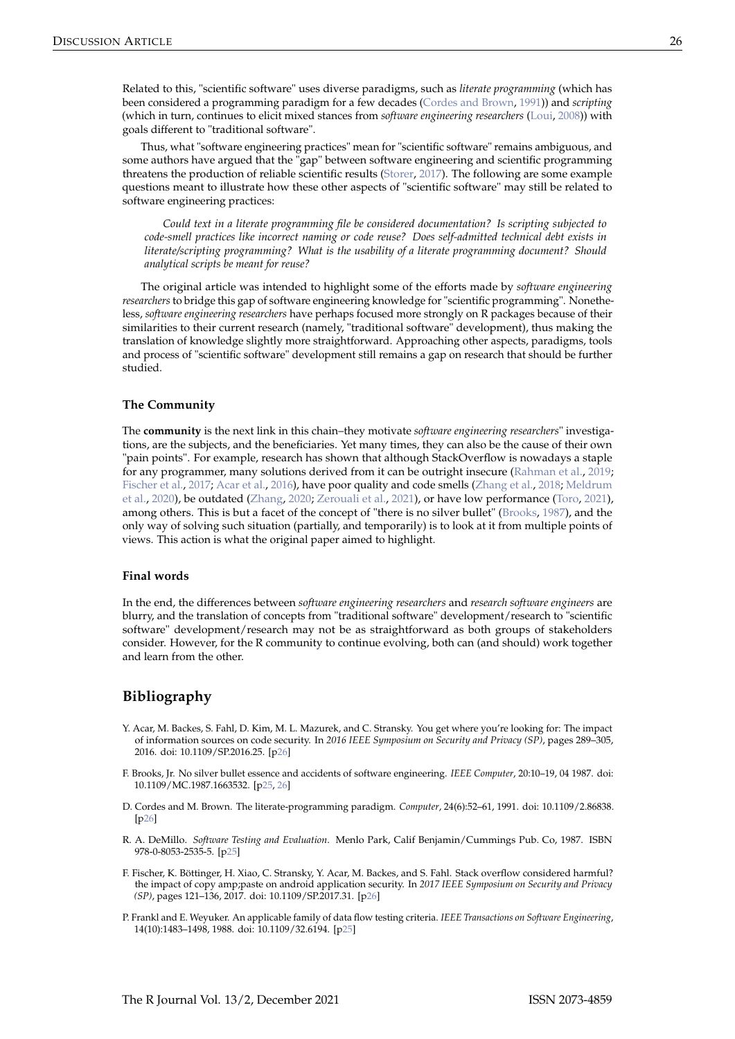<span id="page-1-6"></span>Thus, what "software engineering practices" mean for "scientific software" remains ambiguous, and some authors have argued that the "gap" between software engineering and scientific programming threatens the production of reliable scientific results [\(Storer,](#page-2-2) [2017\)](#page-2-2). The following are some example questions meant to illustrate how these other aspects of "scientific software" may still be related to software engineering practices:

*Could text in a literate programming file be considered documentation? Is scripting subjected to code-smell practices like incorrect naming or code reuse? Does self-admitted technical debt exists in literate/scripting programming? What is the usability of a literate programming document? Should analytical scripts be meant for reuse?*

The original article was intended to highlight some of the efforts made by *software engineering researchers* to bridge this gap of software engineering knowledge for "scientific programming". Nonetheless, *software engineering researchers* have perhaps focused more strongly on R packages because of their similarities to their current research (namely, "traditional software" development), thus making the translation of knowledge slightly more straightforward. Approaching other aspects, paradigms, tools and process of "scientific software" development still remains a gap on research that should be further studied.

#### **The Community**

The **community** is the next link in this chain–they motivate *software engineering researchers*" investigations, are the subjects, and the beneficiaries. Yet many times, they can also be the cause of their own "pain points". For example, research has shown that although StackOverflow is nowadays a staple for any programmer, many solutions derived from it can be outright insecure [\(Rahman et al.,](#page-2-3) [2019;](#page-2-3) [Fischer et al.,](#page-1-4) [2017;](#page-1-4) [Acar et al.,](#page-1-5) [2016\)](#page-1-5), have poor quality and code smells [\(Zhang et al.,](#page-2-4) [2018;](#page-2-4) [Meldrum](#page-2-5) [et al.,](#page-2-5) [2020\)](#page-2-5), be outdated [\(Zhang,](#page-2-6) [2020;](#page-2-6) [Zerouali et al.,](#page-2-7) [2021\)](#page-2-7), or have low performance [\(Toro,](#page-2-8) [2021\)](#page-2-8), among others. This is but a facet of the concept of "there is no silver bullet" [\(Brooks,](#page-1-2) [1987\)](#page-1-2), and the only way of solving such situation (partially, and temporarily) is to look at it from multiple points of views. This action is what the original paper aimed to highlight.

### **Final words**

In the end, the differences between *software engineering researchers* and *research software engineers* are blurry, and the translation of concepts from "traditional software" development/research to "scientific software" development/research may not be as straightforward as both groups of stakeholders consider. However, for the R community to continue evolving, both can (and should) work together and learn from the other.

## **Bibliography**

- <span id="page-1-5"></span>Y. Acar, M. Backes, S. Fahl, D. Kim, M. L. Mazurek, and C. Stransky. You get where you're looking for: The impact of information sources on code security. In *2016 IEEE Symposium on Security and Privacy (SP)*, pages 289–305, 2016. doi: 10.1109/SP.2016.25. [[p26\]](#page-1-6)
- <span id="page-1-2"></span>F. Brooks, Jr. No silver bullet essence and accidents of software engineering. *IEEE Computer*, 20:10–19, 04 1987. doi: 10.1109/MC.1987.1663532. [[p25,](#page-0-0) [26\]](#page-1-6)
- <span id="page-1-3"></span>D. Cordes and M. Brown. The literate-programming paradigm. *Computer*, 24(6):52–61, 1991. doi: 10.1109/2.86838.  $[p26]$  $[p26]$
- <span id="page-1-1"></span>R. A. DeMillo. *Software Testing and Evaluation*. Menlo Park, Calif Benjamin/Cummings Pub. Co, 1987. ISBN 978-0-8053-2535-5. [[p25\]](#page-0-0)
- <span id="page-1-4"></span>F. Fischer, K. Böttinger, H. Xiao, C. Stransky, Y. Acar, M. Backes, and S. Fahl. Stack overflow considered harmful? the impact of copy amp;paste on android application security. In *2017 IEEE Symposium on Security and Privacy (SP)*, pages 121–136, 2017. doi: 10.1109/SP.2017.31. [[p26\]](#page-1-6)
- <span id="page-1-0"></span>P. Frankl and E. Weyuker. An applicable family of data flow testing criteria. *IEEE Transactions on Software Engineering*, 14(10):1483–1498, 1988. doi: 10.1109/32.6194. [[p25\]](#page-0-0)